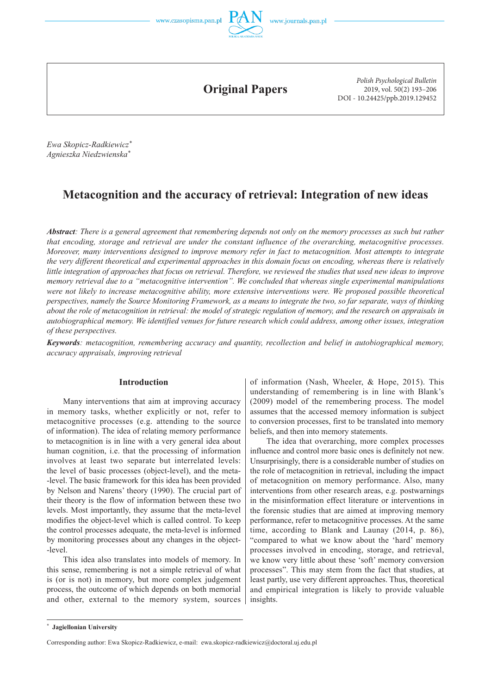



**Original Papers**

*Polish Psychological Bulletin* 2019, vol. 50(2) 193–206 DOI - 10.24425/ppb.2019.129452

*Ewa Skopicz -Radkiewicz\* Agnieszka Niedzwienska\**

# **Metacognition and the accuracy of retrieval: Integration of new ideas**

*Abstract: There is a general agreement that remembering depends not only on the memory processes as such but rather that encoding, storage and retrieval are under the constant influence of the overarching, metacognitive processes. Moreover, many interventions designed to improve memory refer in fact to metacognition. Most attempts to integrate the very different theoretical and experimental approaches in this domain focus on encoding, whereas there is relatively little integration of approaches that focus on retrieval. Therefore, we reviewed the studies that used new ideas to improve memory retrieval due to a "metacognitive intervention". We concluded that whereas single experimental manipulations were not likely to increase metacognitive ability, more extensive interventions were. We proposed possible theoretical perspectives, namely the Source Monitoring Framework, as a means to integrate the two, so far separate, ways of thinking about the role of metacognition in retrieval: the model of strategic regulation of memory, and the research on appraisals in autobiographical memory. We identified venues for future research which could address, among other issues, integration of these perspectives.*

*Keywords: metacognition, remembering accuracy and quantity, recollection and belief in autobiographical memory, accuracy appraisals, improving retrieval*

### **Introduction**

Many interventions that aim at improving accuracy in memory tasks, whether explicitly or not, refer to meta cognitive processes (e.g. attending to the source of information). The idea of relating memory performance to metacognition is in line with a very general idea about human cognition, i.e. that the processing of information involves at least two separate but interrelated levels: the level of basic processes (object -level), and the meta- -level. The basic framework for this idea has been provided by Nelson and Narens' theory (1990). The crucial part of their theory is the flow of information between these two levels. Most importantly, they assume that the meta -level modifies the object -level which is called control. To keep the control processes adequate, the meta -level is informed by monitoring processes about any changes in the object- -level.

This idea also translates into models of memory. In this sense, remembering is not a simple retrieval of what is (or is not) in memory, but more complex judgement process, the outcome of which depends on both memorial and other, external to the memory system, sources

of information (Nash, Wheeler, & Hope, 2015). This understanding of remembering is in line with Blank's (2009) model of the remembering process. The model assumes that the accessed memory information is subject to conversion processes, first to be translated into memory beliefs, and then into memory statements.

The idea that overarching, more complex processes influence and control more basic ones is definitely not new. Unsurprisingly, there is a considerable number of studies on the role of metacognition in retrieval, including the impact of metacognition on memory performance. Also, many interventions from other research areas, e.g. postwarnings in the misinformation effect literature or interventions in the forensic studies that are aimed at improving memory performance, refer to metacognitive processes. At the same time, according to Blank and Launay (2014, p. 86), "compared to what we know about the 'hard' memory processes involved in encoding, storage, and retrieval, we know very little about these 'soft' memory conversion processes". This may stem from the fact that studies, at least partly, use very different approaches. Thus, theoretical and empirical integration is likely to provide valuable insights.

**<sup>\*</sup> Jagiellonian University**

Corresponding author: Ewa Skopicz-Radkiewicz, e-mail: ewa.skopicz-radkiewicz@doctoral.uj.edu.pl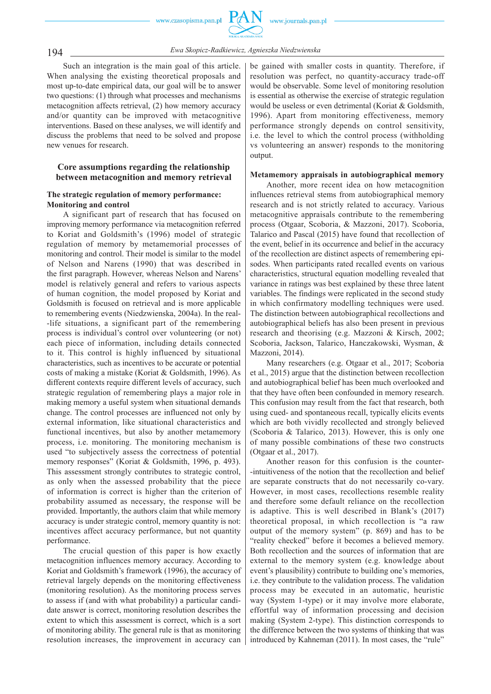

194 *Ewa Skopicz -Radkiewicz, Agnieszka Niedzwienska*

Such an integration is the main goal of this article. When analysing the existing theoretical proposals and most up -to -date empirical data, our goal will be to answer two questions: (1) through what processes and mechanisms metacognition affects retrieval, (2) how memory accuracy and/or quantity can be improved with metacognitive interventions. Based on these analyses, we will identify and discuss the problems that need to be solved and propose new venues for research.

# **Core assumptions regarding the relationship between metacognition and memory retrieval**

### **The strategic regulation of memory performance: Monitoring and control**

A significant part of research that has focused on improving memory performance via metacognition referred to Koriat and Goldsmith's (1996) model of strategic regulation of memory by metamemorial processes of monitoring and control. Their model is similar to the model of Nelson and Narens (1990) that was described in the first paragraph. However, whereas Nelson and Narens' model is relatively general and refers to various aspects of human cognition, the model proposed by Koriat and Goldsmith is focused on retrieval and is more applicable to remembering events (Niedzwienska, 2004a). In the real- -life situations, a significant part of the remembering process is individual's control over volunteering (or not) each piece of information, including details connected to it. This control is highly influenced by situational characteristics, such as incentives to be accurate or potential costs of making a mistake (Koriat & Goldsmith, 1996). As different contexts require different levels of accuracy, such strategic regulation of remembering plays a major role in making memory a useful system when situational demands change. The control processes are influenced not only by external information, like situational characteristics and functional incentives, but also by another metamemory process, i.e. monitoring. The monitoring mechanism is used "to subjectively assess the correctness of potential memory responses" (Koriat & Goldsmith, 1996, p. 493). This assessment strongly contributes to strategic control, as only when the assessed probability that the piece of information is correct is higher than the criterion of probability assumed as necessary, the response will be provided. Importantly, the authors claim that while memory accuracy is under strategic control, memory quantity is not: incentives affect accuracy performance, but not quantity performance.

The crucial question of this paper is how exactly metacognition influences memory accuracy. According to Koriat and Goldsmith's framework (1996), the accuracy of retrieval largely depends on the monitoring effectiveness (monitoring resolution). As the monitoring process serves to assess if (and with what probability) a particular candidate answer is correct, monitoring resolution describes the extent to which this assessment is correct, which is a sort of monitoring ability. The general rule is that as monitoring resolution increases, the improvement in accuracy can

be gained with smaller costs in quantity. Therefore, if resolution was perfect, no quantity -accuracy trade -off would be observable. Some level of monitoring resolution is essential as otherwise the exercise of strategic regulation would be useless or even detrimental (Koriat & Goldsmith, 1996). Apart from monitoring effectiveness, memory performance strongly depends on control sensitivity, i.e. the level to which the control process (withholding vs volunteering an answer) responds to the monitoring output.

## **Metamemory appraisals in autobiographical memory**

Another, more recent idea on how metacognition influences retrieval stems from autobiographical memory research and is not strictly related to accuracy. Various metacognitive appraisals contribute to the remembering process (Otgaar, Scoboria, & Mazzoni, 2017). Scoboria, Talarico and Pascal (2015) have found that recollection of the event, belief in its occurrence and belief in the accuracy of the recollection are distinct aspects of remembering episodes. When participants rated recalled events on various characteristics, structural equation modelling revealed that variance in ratings was best explained by these three latent variables. The findings were replicated in the second study in which confirmatory modelling techniques were used. The distinction between autobiographical recollections and autobiographical beliefs has also been present in previous research and theorising (e.g. Mazzoni & Kirsch, 2002; Scoboria, Jackson, Talarico, Hanczakowski, Wysman, & Mazzoni, 2014).

Many researchers (e.g. Otgaar et al., 2017; Scoboria et al., 2015) argue that the distinction between recollection and autobiographical belief has been much overlooked and that they have often been confounded in memory research. This confusion may result from the fact that research, both using cued- and spontaneous recall, typically elicits events which are both vividly recollected and strongly believed (Scoboria & Talarico, 2013). However, this is only one of many possible combinations of these two constructs (Otgaar et al., 2017).

Another reason for this confusion is the counter- -intuitiveness of the notion that the recollection and belief are separate constructs that do not necessarily co-vary. However, in most cases, recollections resemble reality and therefore some default reliance on the recollection is adaptive. This is well described in Blank's (2017) theoretical proposal, in which recollection is "a raw output of the memory system" (p. 869) and has to be "reality checked" before it becomes a believed memory. Both recollection and the sources of information that are external to the memory system (e.g. knowledge about event's plausibility) contribute to building one's memories, i.e. they contribute to the validation process. The validation process may be executed in an automatic, heuristic way (System 1-type) or it may involve more elaborate, effortful way of information processing and decision making (System 2 -type). This distinction corresponds to the difference between the two systems of thinking that was introduced by Kahneman (2011). In most cases, the "rule"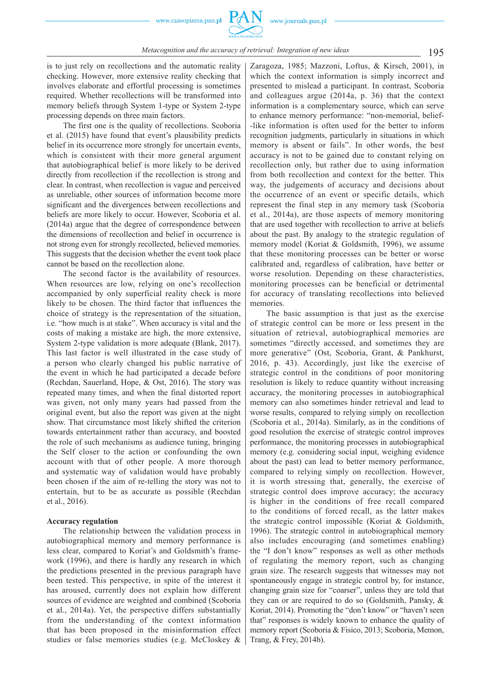is to just rely on recollections and the automatic reality checking. However, more extensive reality checking that involves elaborate and effortful processing is sometimes required. Whether recollections will be transformed into memory beliefs through System 1-type or System 2-type processing depends on three main factors.

The first one is the quality of recollections. Scoboria et al. (2015) have found that event's plausibility predicts belief in its occurrence more strongly for uncertain events, which is consistent with their more general argument that autobiographical belief is more likely to be derived directly from recollection if the recollection is strong and clear. In contrast, when recollection is vague and perceived as unreliable, other sources of information become more significant and the divergences between recollections and beliefs are more likely to occur. However, Scoboria et al.  $(2014a)$  argue that the degree of correspondence between the dimensions of recollection and belief in occurrence is not strong even for strongly recollected, believed memories. This suggests that the decision whether the event took place cannot be based on the recollection alone.

The second factor is the availability of resources. When resources are low, relying on one's recollection accompanied by only superficial reality check is more likely to be chosen. The third factor that influences the choice of strategy is the representation of the situation, i.e. "how much is at stake". When accuracy is vital and the costs of making a mistake are high, the more extensive, System 2-type validation is more adequate (Blank, 2017). This last factor is well illustrated in the case study of a person who clearly changed his public narrative of the event in which he had participated a decade before (Rechdan, Sauerland, Hope, & Ost, 2016). The story was repeated many times, and when the final distorted report was given, not only many years had passed from the original event, but also the report was given at the night show. That circumstance most likely shifted the criterion towards entertainment rather than accuracy, and boosted the role of such mechanisms as audience tuning, bringing the Self closer to the action or confounding the own account with that of other people. A more thorough and systematic way of validation would have probably been chosen if the aim of re -telling the story was not to entertain, but to be as accurate as possible (Rechdan et al., 2016).

#### **Accuracy regulation**

The relationship between the validation process in autobiographical memory and memory performance is less clear, compared to Koriat's and Goldsmith's framework (1996), and there is hardly any research in which the predictions presented in the previous paragraph have been tested. This perspective, in spite of the interest it has aroused, currently does not explain how different sources of evidence are weighted and combined (Scoboria et al., 2014a). Yet, the perspective differs substantially from the understanding of the context information that has been proposed in the misinformation effect studies or false memories studies (e.g. McCloskey &

Zaragoza, 1985; Mazzoni, Loftus, & Kirsch, 2001), in which the context information is simply incorrect and presented to mislead a participant. In contrast, Scoboria and colleagues argue (2014a, p. 36) that the context information is a complementary source, which can serve to enhance memory performance: "non -memorial, belief- -like information is often used for the better to inform recognition judgments, particularly in situations in which memory is absent or fails". In other words, the best accuracy is not to be gained due to constant relying on recollection only, but rather due to using information from both recollection and context for the better. This way, the judgements of accuracy and decisions about the occurrence of an event or specific details, which represent the final step in any memory task (Scoboria et al., 2014a), are those aspects of memory monitoring that are used together with recollection to arrive at beliefs about the past. By analogy to the strategic regulation of memory model (Koriat & Goldsmith, 1996), we assume that these monitoring processes can be better or worse calibrated and, regardless of calibration, have better or worse resolution. Depending on these characteristics, monitoring processes can be beneficial or detrimental for accuracy of translating recollections into believed memories.

The basic assumption is that just as the exercise of strategic control can be more or less present in the situation of retrieval, autobiographical memories are sometimes "directly accessed, and sometimes they are more generative" (Ost, Scoboria, Grant, & Pankhurst, 2016, p. 43). Accordingly, just like the exercise of strategic control in the conditions of poor monitoring resolution is likely to reduce quantity without increasing accuracy, the monitoring processes in autobiographical memory can also sometimes hinder retrieval and lead to worse results, compared to relying simply on recollection (Scoboria et al., 2014a). Similarly, as in the conditions of good resolution the exercise of strategic control improves performance, the monitoring processes in autobiographical memory (e.g. considering social input, weighing evidence about the past) can lead to better memory performance, compared to relying simply on recollection. However, it is worth stressing that, generally, the exercise of strategic control does improve accuracy; the accuracy is higher in the conditions of free recall compared to the conditions of forced recall, as the latter makes the strategic control impossible (Koriat & Goldsmith, 1996). The strategic control in autobiographical memory also includes encouraging (and sometimes enabling) the "I don't know" responses as well as other methods of regulating the memory report, such as changing grain size. The research suggests that witnesses may not spontaneously engage in strategic control by, for instance, changing grain size for "coarser", unless they are told that they can or are required to do so (Goldsmith, Pansky, & Koriat, 2014). Promoting the "don't know" or "haven't seen that" responses is widely known to enhance the quality of memory report (Scoboria & Fisico, 2013; Scoboria, Memon, Trang, & Frey, 2014b).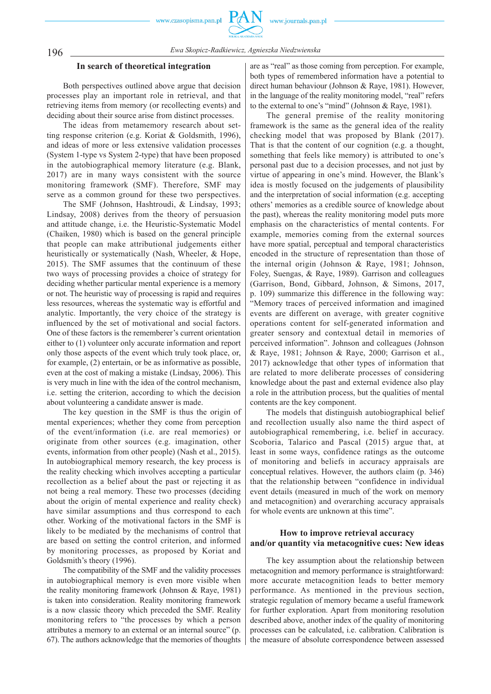

# 196 *Ewa Skopicz -Radkiewicz, Agnieszka Niedzwienska*

#### **In search of theoretical integration**

Both perspectives outlined above argue that decision processes play an important role in retrieval, and that retrieving items from memory (or recollecting events) and deciding about their source arise from distinct processes.

The ideas from metamemory research about setting response criterion (e.g. Koriat & Goldsmith, 1996), and ideas of more or less extensive validation processes (System 1 -type vs System 2 -type) that have been proposed in the autobiographical memory literature (e.g. Blank, 2017) are in many ways consistent with the source monitoring framework (SMF). Therefore, SMF may serve as a common ground for these two perspectives.

The SMF (Johnson, Hashtroudi, & Lindsay, 1993; Lindsay, 2008) derives from the theory of persuasion and attitude change, i.e. the Heuristic -Systematic Model (Chaiken, 1980) which is based on the general principle that people can make attributional judgements either heuristically or systematically (Nash, Wheeler, & Hope, 2015). The SMF assumes that the continuum of these two ways of processing provides a choice of strategy for deciding whether particular mental experience is a memory or not. The heuristic way of processing is rapid and requires less resources, whereas the systematic way is effortful and analytic. Importantly, the very choice of the strategy is influenced by the set of motivational and social factors. One of these factors is the rememberer's current orientation either to (1) volunteer only accurate information and report only those aspects of the event which truly took place, or, for example, (2) entertain, or be as informative as possible, even at the cost of making a mistake (Lindsay, 2006). This is very much in line with the idea of the control mechanism, i.e. setting the criterion, according to which the decision about volunteering a candidate answer is made.

The key question in the SMF is thus the origin of mental experiences; whether they come from perception of the event/information (i.e. are real memories) or originate from other sources (e.g. imagination, other events, information from other people) (Nash et al., 2015). In autobiographical memory research, the key process is the reality checking which involves accepting a particular recollection as a belief about the past or rejecting it as not being a real memory. These two processes (deciding about the origin of mental experience and reality check) have similar assumptions and thus correspond to each other. Working of the motivational factors in the SMF is likely to be mediated by the mechanisms of control that are based on setting the control criterion, and informed by monitoring processes, as proposed by Koriat and Goldsmith's theory (1996).

The compatibility of the SMF and the validity processes in autobiographical memory is even more visible when the reality monitoring framework (Johnson & Raye, 1981) is taken into consideration. Reality monitoring framework is a now classic theory which preceded the SMF. Reality monitoring refers to "the processes by which a person attributes a memory to an external or an internal source" (p. 67). The authors acknowledge that the memories of thoughts

are as "real" as those coming from perception. For example, both types of remembered information have a potential to direct human behaviour (Johnson & Raye, 1981). However, in the language of the reality monitoring model, "real" refers to the external to one's "mind" (Johnson & Raye, 1981).

The general premise of the reality monitoring framework is the same as the general idea of the reality checking model that was proposed by Blank (2017). That is that the content of our cognition (e.g. a thought, something that feels like memory) is attributed to one's personal past due to a decision processes, and not just by virtue of appearing in one's mind. However, the Blank's idea is mostly focused on the judgements of plausibility and the interpretation of social information (e.g. accepting others' memories as a credible source of knowledge about the past), whereas the reality monitoring model puts more emphasis on the characteristics of mental contents. For example, memories coming from the external sources have more spatial, perceptual and temporal characteristics encoded in the structure of representation than those of the internal origin (Johnson & Raye, 1981; Johnson, Foley, Suengas, & Raye, 1989). Garrison and colleagues (Garrison, Bond, Gibbard, Johnson, & Simons, 2017, p. 109) summarize this difference in the following way: "Memory traces of perceived information and imagined events are different on average, with greater cognitive operations content for self -generated information and greater sensory and contextual detail in memories of perceived information". Johnson and colleagues (Johnson & Raye, 1981; Johnson & Raye, 2000; Garrison et al., 2017) acknowledge that other types of information that are related to more deliberate processes of considering knowledge about the past and external evidence also play a role in the attribution process, but the qualities of mental contents are the key component.

The models that distinguish autobiographical belief and recollection usually also name the third aspect of autobiographical remembering, i.e. belief in accuracy. Scoboria, Talarico and Pascal (2015) argue that, at least in some ways, confidence ratings as the outcome of monitoring and beliefs in accuracy appraisals are conceptual relatives. However, the authors claim (p. 346) that the relationship between "confidence in individual event details (measured in much of the work on memory and metacognition) and overarching accuracy appraisals for whole events are unknown at this time".

# **How to improve retrieval accuracy and/or quantity via metacognitive cues: New ideas**

The key assumption about the relationship between metacognition and memory performance is straightforward: more accurate metacognition leads to better memory performance. As mentioned in the previous section, strategic regulation of memory became a useful framework for further exploration. Apart from monitoring resolution described above, another index of the quality of monitoring processes can be calculated, i.e. calibration. Calibration is the measure of absolute correspondence between assessed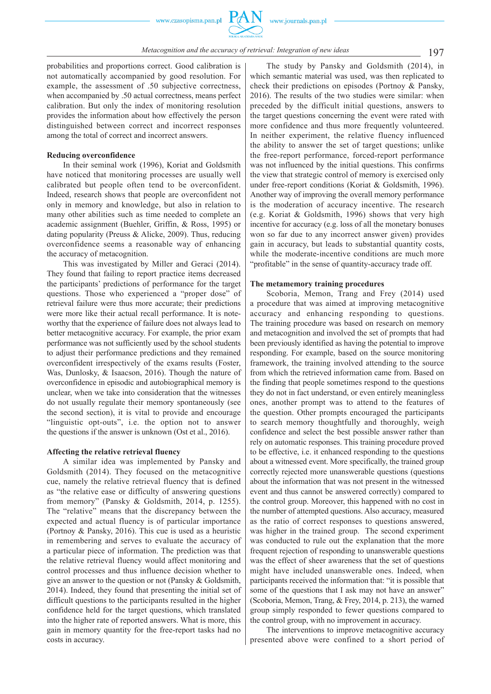

probabilities and proportions correct. Good calibration is not automatically accompanied by good resolution. For example, the assessment of .50 subjective correctness, when accompanied by .50 actual correctness, means perfect calibration. But only the index of monitoring resolution provides the information about how effectively the person distinguished between correct and incorrect responses among the total of correct and incorrect answers.

#### **Reducing overconfidence**

In their seminal work (1996), Koriat and Goldsmith have noticed that monitoring processes are usually well calibrated but people often tend to be overconfident. Indeed, research shows that people are overconfident not only in memory and knowledge, but also in relation to many other abilities such as time needed to complete an academic assignment (Buehler, Griffin, & Ross, 1995) or dating popularity (Preuss & Alicke, 2009). Thus, reducing overconfidence seems a reasonable way of enhancing the accuracy of metacognition.

This was investigated by Miller and Geraci (2014). They found that failing to report practice items decreased the participants' predictions of performance for the target questions. Those who experienced a "proper dose" of retrieval failure were thus more accurate; their predictions were more like their actual recall performance. It is noteworthy that the experience of failure does not always lead to better metacognitive accuracy. For example, the prior exam performance was not sufficiently used by the school students to adjust their performance predictions and they remained overconfident irrespectively of the exams results (Foster, Was, Dunlosky, & Isaacson, 2016). Though the nature of overconfidence in episodic and autobiographical memory is unclear, when we take into consideration that the witnesses do not usually regulate their memory spontaneously (see the second section), it is vital to provide and encourage "linguistic opt -outs", i.e. the option not to answer the questions if the answer is unknown (Ost et al., 2016).

#### **Affecting the relative retrieval fluency**

A similar idea was implemented by Pansky and Goldsmith (2014). They focused on the metacognitive cue, namely the relative retrieval fluency that is defined as "the relative ease or difficulty of answering questions from memory" (Pansky & Goldsmith, 2014, p. 1255). The "relative" means that the discrepancy between the expected and actual fluency is of particular importance (Portnoy & Pansky, 2016). This cue is used as a heuristic in remembering and serves to evaluate the accuracy of a particular piece of information. The prediction was that the relative retrieval fluency would affect monitoring and control processes and thus influence decision whether to give an answer to the question or not (Pansky & Goldsmith, 2014). Indeed, they found that presenting the initial set of difficult questions to the participants resulted in the higher confidence held for the target questions, which translated into the higher rate of reported answers. What is more, this gain in memory quantity for the free -report tasks had no costs in accuracy.

The study by Pansky and Goldsmith (2014), in which semantic material was used, was then replicated to check their predictions on episodes (Portnoy & Pansky, 2016). The results of the two studies were similar: when preceded by the difficult initial questions, answers to the target questions concerning the event were rated with more confidence and thus more frequently volunteered. In neither experiment, the relative fluency influenced the ability to answer the set of target questions; unlike the free -report performance, forced -report performance was not influenced by the initial questions. This confirms the view that strategic control of memory is exercised only under free -report conditions (Koriat & Goldsmith, 1996). Another way of improving the overall memory performance is the moderation of accuracy incentive. The research (e.g. Koriat & Goldsmith, 1996) shows that very high incentive for accuracy (e.g. loss of all the monetary bonuses won so far due to any incorrect answer given) provides gain in accuracy, but leads to substantial quantity costs, while the moderate-incentive conditions are much more "profitable" in the sense of quantity -accuracy trade off.

#### **The metamemory training procedures**

Scoboria, Memon, Trang and Frey (2014) used a procedure that was aimed at improving metacognitive accuracy and enhancing responding to questions. The training procedure was based on research on memory and metacognition and involved the set of prompts that had been previously identified as having the potential to improve responding. For example, based on the source monitoring framework, the training involved attending to the source from which the retrieved information came from. Based on the finding that people sometimes respond to the questions they do not in fact understand, or even entirely meaningless ones, another prompt was to attend to the features of the question. Other prompts encouraged the participants to search memory thoughtfully and thoroughly, weigh confidence and select the best possible answer rather than rely on automatic responses. This training procedure proved to be effective, i.e. it enhanced responding to the questions about a witnessed event. More specifically, the trained group correctly rejected more unanswerable questions (questions about the information that was not present in the witnessed event and thus cannot be answered correctly) compared to the control group. Moreover, this happened with no cost in the number of attempted questions. Also accuracy, measured as the ratio of correct responses to questions answered, was higher in the trained group. The second experiment was conducted to rule out the explanation that the more frequent rejection of responding to unanswerable questions was the effect of sheer awareness that the set of questions might have included unanswerable ones. Indeed, when participants received the information that: "it is possible that some of the questions that I ask may not have an answer" (Scoboria, Memon, Trang, & Frey, 2014, p. 213), the warned group simply responded to fewer questions compared to the control group, with no improvement in accuracy.

The interventions to improve metacognitive accuracy presented above were confined to a short period of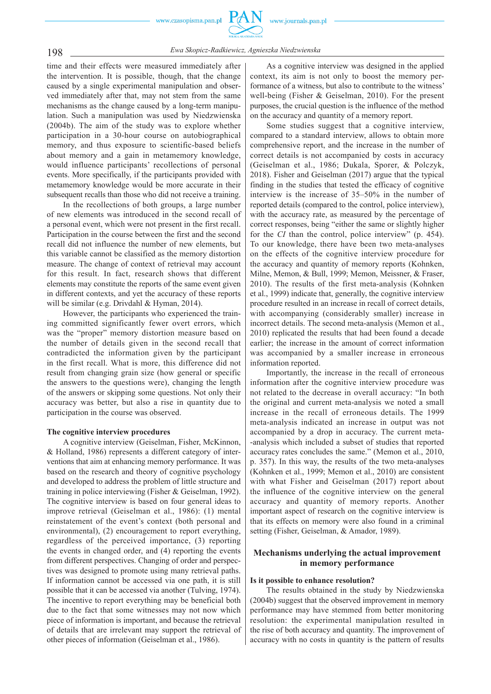

198 *Ewa Skopicz -Radkiewicz, Agnieszka Niedzwienska*

time and their effects were measured immediately after the intervention. It is possible, though, that the change caused by a single experimental manipulation and observed immediately after that, may not stem from the same mechanisms as the change caused by a long-term manipulation. Such a manipulation was used by Niedzwienska (2004b). The aim of the study was to explore whether participation in a 30 -hour course on autobiographical memory, and thus exposure to scientific-based beliefs about memory and a gain in metamemory knowledge, would influence participants' recollections of personal events. More specifically, if the participants provided with metamemory knowledge would be more accurate in their subsequent recalls than those who did not receive a training.

In the recollections of both groups, a large number of new elements was introduced in the second recall of a personal event, which were not present in the first recall. Participation in the course between the first and the second recall did not influence the number of new elements, but this variable cannot be classified as the memory distortion measure. The change of context of retrieval may account for this result. In fact, research shows that different elements may constitute the reports of the same event given in different contexts, and yet the accuracy of these reports will be similar (e.g. Drivdahl & Hyman, 2014).

However, the participants who experienced the training committed significantly fewer overt errors, which was the "proper" memory distortion measure based on the number of details given in the second recall that contradicted the information given by the participant in the first recall. What is more, this difference did not result from changing grain size (how general or specific the answers to the questions were), changing the length of the answers or skipping some questions. Not only their accuracy was better, but also a rise in quantity due to participation in the course was observed.

#### **The cognitive interview procedures**

A cognitive interview (Geiselman, Fisher, McKinnon, & Holland, 1986) represents a different category of interventions that aim at enhancing memory performance. It was based on the research and theory of cognitive psychology and developed to address the problem of little structure and training in police interviewing (Fisher & Geiselman, 1992). The cognitive interview is based on four general ideas to improve retrieval (Geiselman et al., 1986): (1) mental reinstatement of the event's context (both personal and environmental), (2) encouragement to report everything, regardless of the perceived importance, (3) reporting the events in changed order, and (4) reporting the events from different perspectives. Changing of order and perspectives was designed to promote using many retrieval paths. If information cannot be accessed via one path, it is still possible that it can be accessed via another (Tulving, 1974). The incentive to report everything may be beneficial both due to the fact that some witnesses may not now which piece of information is important, and because the retrieval of details that are irrelevant may support the retrieval of other pieces of information (Geiselman et al., 1986).

As a cognitive interview was designed in the applied context, its aim is not only to boost the memory performance of a witness, but also to contribute to the witness' well-being (Fisher & Geiselman, 2010). For the present purposes, the crucial question is the influence of the method on the accuracy and quantity of a memory report.

Some studies suggest that a cognitive interview, compared to a standard interview, allows to obtain more comprehensive report, and the increase in the number of correct details is not accompanied by costs in accuracy (Geiselman et al., 1986; Dukala, Sporer, & Polczyk, 2018). Fisher and Geiselman (2017) argue that the typical finding in the studies that tested the efficacy of cognitive interview is the increase of 35–50% in the number of reported details (compared to the control, police interview), with the accuracy rate, as measured by the percentage of correct responses, being "either the same or slightly higher for the *CI* than the control, police interview" (p. 454). To our knowledge, there have been two meta-analyses on the effects of the cognitive interview procedure for the accuracy and quantity of memory reports (Kohnken, Milne, Memon, & Bull, 1999; Memon, Meissner, & Fraser, 2010). The results of the first meta -analysis (Kohnken et al., 1999) indicate that, generally, the cognitive interview procedure resulted in an increase in recall of correct details, with accompanying (considerably smaller) increase in incorrect details. The second meta-analysis (Memon et al., 2010) replicated the results that had been found a decade earlier; the increase in the amount of correct information was accompanied by a smaller increase in erroneous information reported.

Importantly, the increase in the recall of erroneous information after the cognitive interview procedure was not related to the decrease in overall accuracy: "In both the original and current meta -analysis we noted a small increase in the recall of erroneous details. The 1999 meta -analysis indicated an increase in output was not accompanied by a drop in accuracy. The current meta- -analysis which included a subset of studies that reported accuracy rates concludes the same." (Memon et al., 2010, p. 357). In this way, the results of the two meta-analyses (Kohnken et al., 1999; Memon et al., 2010) are consistent with what Fisher and Geiselman (2017) report about the influence of the cognitive interview on the general accuracy and quantity of memory reports. Another important aspect of research on the cognitive interview is that its effects on memory were also found in a criminal setting (Fisher, Geiselman, & Amador, 1989).

# **Mechanisms underlying the actual improvement in memory performance**

#### **Is it possible to enhance resolution?**

The results obtained in the study by Niedzwienska (2004b) suggest that the observed improvement in memory performance may have stemmed from better monitoring resolution: the experimental manipulation resulted in the rise of both accuracy and quantity. The improvement of accuracy with no costs in quantity is the pattern of results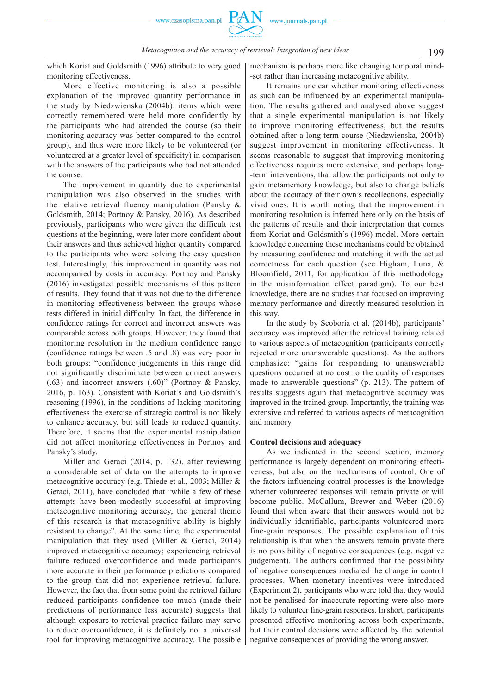199 *Metacognition and the accuracy of retrieval: Integration of new ideas*

which Koriat and Goldsmith (1996) attribute to very good monitoring effectiveness.

More effective monitoring is also a possible explanation of the improved quantity performance in the study by Niedzwienska (2004b): items which were correctly remembered were held more confidently by the participants who had attended the course (so their monitoring accuracy was better compared to the control group), and thus were more likely to be volunteered (or volunteered at a greater level of specificity) in comparison with the answers of the participants who had not attended the course.

The improvement in quantity due to experimental manipulation was also observed in the studies with the relative retrieval fluency manipulation (Pansky & Goldsmith, 2014; Portnoy & Pansky, 2016). As described previously, participants who were given the difficult test questions at the beginning, were later more confident about their answers and thus achieved higher quantity compared to the participants who were solving the easy question test. Interestingly, this improvement in quantity was not accompanied by costs in accuracy. Portnoy and Pansky (2016) investigated possible mechanisms of this pattern of results. They found that it was not due to the difference in monitoring effectiveness between the groups whose tests differed in initial difficulty. In fact, the difference in confidence ratings for correct and incorrect answers was comparable across both groups. However, they found that monitoring resolution in the medium confidence range (confidence ratings between .5 and .8) was very poor in both groups: "confidence judgements in this range did not significantly discriminate between correct answers (.63) and incorrect answers (.60)" (Portnoy & Pansky, 2016, p. 163). Consistent with Koriat's and Goldsmith's reasoning (1996), in the conditions of lacking monitoring effectiveness the exercise of strategic control is not likely to enhance accuracy, but still leads to reduced quantity. Therefore, it seems that the experimental manipulation did not affect monitoring effectiveness in Portnoy and Pansky's study.

Miller and Geraci (2014, p. 132), after reviewing a considerable set of data on the attempts to improve metacognitive accuracy (e.g. Thiede et al., 2003; Miller & Geraci, 2011), have concluded that "while a few of these attempts have been modestly successful at improving metacognitive monitoring accuracy, the general theme of this research is that metacognitive ability is highly resistant to change". At the same time, the experimental manipulation that they used (Miller  $&$  Geraci, 2014) improved metacognitive accuracy; experiencing retrieval failure reduced overconfidence and made participants more accurate in their performance predictions compared to the group that did not experience retrieval failure. However, the fact that from some point the retrieval failure reduced participants confidence too much (made their predictions of performance less accurate) suggests that although exposure to retrieval practice failure may serve to reduce overconfidence, it is definitely not a universal tool for improving metacognitive accuracy. The possible mechanism is perhaps more like changing temporal mind- -set rather than increasing metacognitive ability.

It remains unclear whether monitoring effectiveness as such can be influenced by an experimental manipulation. The results gathered and analysed above suggest that a single experimental manipulation is not likely to improve monitoring effectiveness, but the results obtained after a long -term course (Niedzwienska, 2004b) suggest improvement in monitoring effectiveness. It seems reasonable to suggest that improving monitoring effectiveness requires more extensive, and perhaps long- -term interventions, that allow the participants not only to gain metamemory knowledge, but also to change beliefs about the accuracy of their own's recollections, especially vivid ones. It is worth noting that the improvement in monitoring resolution is inferred here only on the basis of the patterns of results and their interpretation that comes from Koriat and Goldsmith's (1996) model. More certain knowledge concerning these mechanisms could be obtained by measuring confidence and matching it with the actual correctness for each question (see Higham, Luna, & Bloomfield, 2011, for application of this methodology in the misinformation effect paradigm). To our best knowledge, there are no studies that focused on improving memory performance and directly measured resolution in this way.

In the study by Scoboria et al. (2014b), participants' accuracy was improved after the retrieval training related to various aspects of metacognition (participants correctly rejected more unanswerable questions). As the authors emphasize: "gains for responding to unanswerable questions occurred at no cost to the quality of responses made to answerable questions" (p. 213). The pattern of results suggests again that metacognitive accuracy was improved in the trained group. Importantly, the training was extensive and referred to various aspects of metacognition and memory.

#### **Control decisions and adequacy**

As we indicated in the second section, memory performance is largely dependent on monitoring effectiveness, but also on the mechanisms of control. One of the factors influencing control processes is the knowledge whether volunteered responses will remain private or will become public. McCallum, Brewer and Weber (2016) found that when aware that their answers would not be individually identifiable, participants volunteered more fine -grain responses. The possible explanation of this relationship is that when the answers remain private there is no possibility of negative consequences (e.g. negative judgement). The authors confirmed that the possibility of negative consequences mediated the change in control processes. When monetary incentives were introduced (Experiment 2), participants who were told that they would not be penalised for inaccurate reporting were also more likely to volunteer fine -grain responses. In short, participants presented effective monitoring across both experiments, but their control decisions were affected by the potential negative consequences of providing the wrong answer.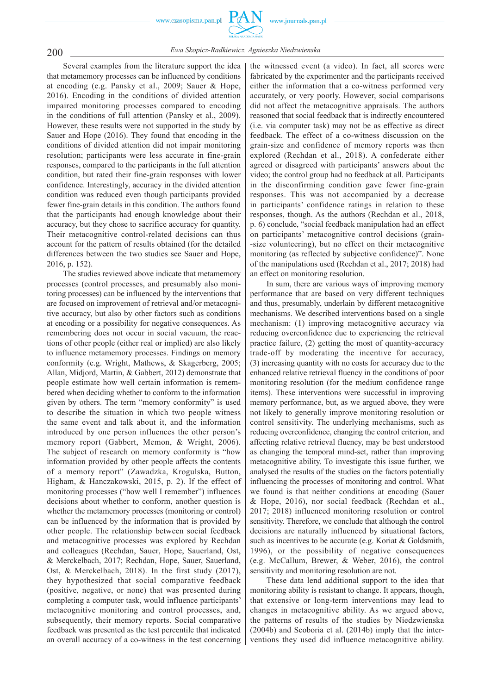

200 *Ewa Skopicz -Radkiewicz, Agnieszka Niedzwienska*

Several examples from the literature support the idea that metamemory processes can be influenced by conditions at encoding (e.g. Pansky et al., 2009; Sauer & Hope, 2016). Encoding in the conditions of divided attention impaired monitoring processes compared to encoding in the conditions of full attention (Pansky et al., 2009). However, these results were not supported in the study by Sauer and Hope (2016). They found that encoding in the conditions of divided attention did not impair monitoring resolution; participants were less accurate in fine -grain responses, compared to the participants in the full attention condition, but rated their fine -grain responses with lower confidence. Interestingly, accuracy in the divided attention condition was reduced even though participants provided fewer fine -grain details in this condition. The authors found that the participants had enough knowledge about their accuracy, but they chose to sacrifice accuracy for quantity. Their metacognitive control -related decisions can thus account for the pattern of results obtained (for the detailed differences between the two studies see Sauer and Hope, 2016, p. 152).

The studies reviewed above indicate that metamemory processes (control processes, and presumably also monitoring processes) can be influenced by the interventions that are focused on improvement of retrieval and/or metacognitive accuracy, but also by other factors such as conditions at encoding or a possibility for negative consequences. As remembering does not occur in social vacuum, the reactions of other people (either real or implied) are also likely to influence metamemory processes. Findings on memory conformity (e.g. Wright, Mathews, & Skagerberg, 2005; Allan, Midjord, Martin, & Gabbert, 2012) demonstrate that people estimate how well certain information is remembered when deciding whether to conform to the information given by others. The term "memory conformity" is used to describe the situation in which two people witness the same event and talk about it, and the information introduced by one person influences the other person's memory report (Gabbert, Memon, & Wright, 2006). The subject of research on memory conformity is "how information provided by other people affects the contents of a memory report" (Zawadzka, Krogulska, Button, Higham, & Hanczakowski, 2015, p. 2). If the effect of monitoring processes ("how well I remember") influences decisions about whether to conform, another question is whether the metamemory processes (monitoring or control) can be influenced by the information that is provided by other people. The relationship between social feedback and metacognitive processes was explored by Rechdan and colleagues (Rechdan, Sauer, Hope, Sauerland, Ost, & Merckelbach, 2017; Rechdan, Hope, Sauer, Sauerland, Ost, & Merckelbach, 2018). In the first study (2017), they hypothesized that social comparative feedback (positive, negative, or none) that was presented during completing a computer task, would influence participants' metacognitive monitoring and control processes, and, subsequently, their memory reports. Social comparative feedback was presented as the test percentile that indicated an overall accuracy of a co-witness in the test concerning

the witnessed event (a video). In fact, all scores were fabricated by the experimenter and the participants received either the information that a co-witness performed very accurately, or very poorly. However, social comparisons did not affect the metacognitive appraisals. The authors reasoned that social feedback that is indirectly encountered (i.e. via computer task) may not be as effective as direct feedback. The effect of a co-witness discussion on the grain -size and confidence of memory reports was then explored (Rechdan et al., 2018). A confederate either agreed or disagreed with participants' answers about the video; the control group had no feedback at all. Participants in the disconfirming condition gave fewer fine -grain responses. This was not accompanied by a decrease in participants' confidence ratings in relation to these responses, though. As the authors (Rechdan et al., 2018, p. 6) conclude, "social feedback manipulation had an effect on participants' metacognitive control decisions (grain- -size volunteering), but no effect on their metacognitive monitoring (as reflected by subjective confidence)". None of the manipulations used (Rechdan et al., 2017; 2018) had an effect on monitoring resolution.

In sum, there are various ways of improving memory performance that are based on very different techniques and thus, presumably, underlain by different metacognitive mechanisms. We described interventions based on a single mechanism: (1) improving metacognitive accuracy via reducing overconfidence due to experiencing the retrieval practice failure, (2) getting the most of quantity -accuracy trade -off by moderating the incentive for accuracy, (3) increasing quantity with no costs for accuracy due to the enhanced relative retrieval fluency in the conditions of poor monitoring resolution (for the medium confidence range items). These interventions were successful in improving memory performance, but, as we argued above, they were not likely to generally improve monitoring resolution or control sensitivity. The underlying mechanisms, such as reducing overconfidence, changing the control criterion, and affecting relative retrieval fluency, may be best understood as changing the temporal mind -set, rather than improving metacognitive ability. To investigate this issue further, we analysed the results of the studies on the factors potentially influencing the processes of monitoring and control. What we found is that neither conditions at encoding (Sauer & Hope, 2016), nor social feedback (Rechdan et al., 2017; 2018) influenced monitoring resolution or control sensitivity. Therefore, we conclude that although the control decisions are naturally influenced by situational factors, such as incentives to be accurate (e.g. Koriat & Goldsmith, 1996), or the possibility of negative consequences (e.g. McCallum, Brewer, & Weber, 2016), the control sensitivity and monitoring resolution are not.

These data lend additional support to the idea that monitoring ability is resistant to change. It appears, though, that extensive or long -term interventions may lead to changes in metacognitive ability. As we argued above, the patterns of results of the studies by Niedzwienska (2004b) and Scoboria et al. (2014b) imply that the interventions they used did influence metacognitive ability.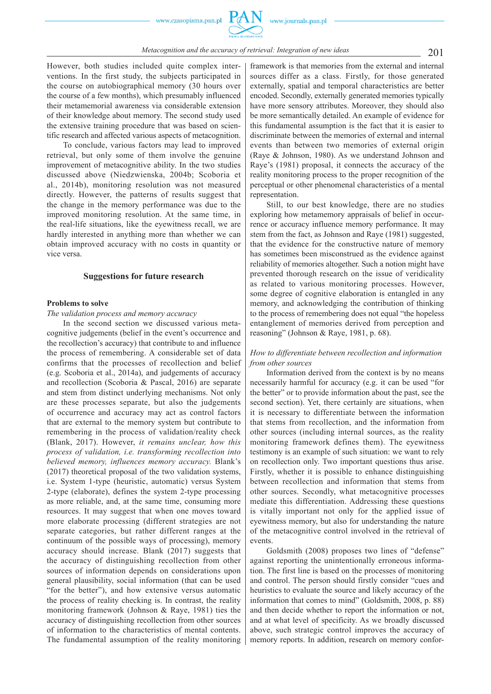However, both studies included quite complex interventions. In the first study, the subjects participated in the course on autobiographical memory (30 hours over the course of a few months), which presumably influenced their metamemorial awareness via considerable extension of their knowledge about memory. The second study used the extensive training procedure that was based on scientific research and affected various aspects of metacognition.

To conclude, various factors may lead to improved retrieval, but only some of them involve the genuine improvement of metacognitive ability. In the two studies discussed above (Niedzwienska, 2004b; Scoboria et al., 2014b), monitoring resolution was not measured directly. However, the patterns of results suggest that the change in the memory performance was due to the improved monitoring resolution. At the same time, in the real -life situations, like the eyewitness recall, we are hardly interested in anything more than whether we can obtain improved accuracy with no costs in quantity or vice versa.

### **Suggestions for future research**

#### **Problems to solve**

*The validation process and memory accuracy*

In the second section we discussed various metacognitive judgements (belief in the event's occurrence and the recollection's accuracy) that contribute to and influence the process of remembering. A considerable set of data confirms that the processes of recollection and belief (e.g. Scoboria et al., 2014a), and judgements of accuracy and recollection (Scoboria & Pascal, 2016) are separate and stem from distinct underlying mechanisms. Not only are these processes separate, but also the judgements of occurrence and accuracy may act as control factors that are external to the memory system but contribute to remembering in the process of validation/reality check (Blank, 2017). However, *it remains unclear, how this process of validation, i.e. transforming recollection into believed memory, influences memory accuracy.* Blank's (2017) theoretical proposal of the two validation systems, i.e. System 1 -type (heuristic, automatic) versus System 2 -type (elaborate), defines the system 2 -type processing as more reliable, and, at the same time, consuming more resources. It may suggest that when one moves toward more elaborate processing (different strategies are not separate categories, but rather different ranges at the continuum of the possible ways of processing), memory accuracy should increase. Blank (2017) suggests that the accuracy of distinguishing recollection from other sources of information depends on considerations upon general plausibility, social information (that can be used "for the better"), and how extensive versus automatic the process of reality checking is. In contrast, the reality monitoring framework (Johnson & Raye, 1981) ties the accuracy of distinguishing recollection from other sources of information to the characteristics of mental contents. The fundamental assumption of the reality monitoring

framework is that memories from the external and internal sources differ as a class. Firstly, for those generated externally, spatial and temporal characteristics are better encoded. Secondly, externally generated memories typically have more sensory attributes. Moreover, they should also be more semantically detailed. An example of evidence for this fundamental assumption is the fact that it is easier to discriminate between the memories of external and internal events than between two memories of external origin (Raye & Johnson, 1980). As we understand Johnson and Raye's (1981) proposal, it connects the accuracy of the reality monitoring process to the proper recognition of the perceptual or other phenomenal characteristics of a mental representation.

Still, to our best knowledge, there are no studies exploring how metamemory appraisals of belief in occurrence or accuracy influence memory performance. It may stem from the fact, as Johnson and Raye (1981) suggested, that the evidence for the constructive nature of memory has sometimes been misconstrued as the evidence against reliability of memories altogether. Such a notion might have prevented thorough research on the issue of veridicality as related to various monitoring processes. However, some degree of cognitive elaboration is entangled in any memory, and acknowledging the contribution of thinking to the process of remembering does not equal "the hopeless entanglement of memories derived from perception and reasoning" (Johnson & Raye, 1981, p. 68).

#### *How to differentiate between recollection and information from other sources*

Information derived from the context is by no means necessarily harmful for accuracy (e.g. it can be used "for the better" or to provide information about the past, see the second section). Yet, there certainly are situations, when it is necessary to differentiate between the information that stems from recollection, and the information from other sources (including internal sources, as the reality monitoring framework defines them). The eyewitness testimony is an example of such situation: we want to rely on recollection only. Two important questions thus arise. Firstly, whether it is possible to enhance distinguishing between recollection and information that stems from other sources. Secondly, what metacognitive processes mediate this differentiation. Addressing these questions is vitally important not only for the applied issue of eyewitness memory, but also for understanding the nature of the metacognitive control involved in the retrieval of events.

Goldsmith (2008) proposes two lines of "defense" against reporting the unintentionally erroneous information. The first line is based on the processes of monitoring and control. The person should firstly consider "cues and heuristics to evaluate the source and likely accuracy of the information that comes to mind" (Goldsmith, 2008, p. 88) and then decide whether to report the information or not, and at what level of specificity. As we broadly discussed above, such strategic control improves the accuracy of memory reports. In addition, research on memory confor-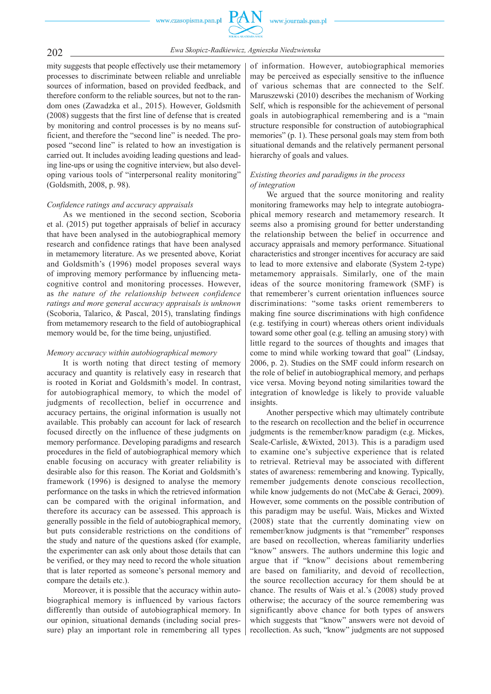

202 *Ewa Skopicz -Radkiewicz, Agnieszka Niedzwienska*

mity suggests that people effectively use their metamemory processes to discriminate between reliable and unreliable sources of information, based on provided feedback, and therefore conform to the reliable sources, but not to the random ones (Zawadzka et al., 2015). However, Goldsmith (2008) suggests that the first line of defense that is created by monitoring and control processes is by no means sufficient, and therefore the "second line" is needed. The proposed "second line" is related to how an investigation is carried out. It includes avoiding leading questions and leading line -ups or using the cognitive interview, but also developing various tools of "interpersonal reality monitoring" (Goldsmith, 2008, p. 98).

#### *Confidence ratings and accuracy appraisals*

As we mentioned in the second section, Scoboria et al. (2015) put together appraisals of belief in accuracy that have been analysed in the autobiographical memory research and confidence ratings that have been analysed in metamemory literature. As we presented above, Koriat and Goldsmith's (1996) model proposes several ways of improving memory performance by influencing metacognitive control and monitoring processes. However, as *the nature of the relationship between confidence ratings and more general accuracy appraisals is unknown* (Scoboria, Talarico, & Pascal, 2015), translating findings from metamemory research to the field of autobiographical memory would be, for the time being, unjustified.

#### *Memory accuracy within autobiographical memory*

It is worth noting that direct testing of memory accuracy and quantity is relatively easy in research that is rooted in Koriat and Goldsmith's model. In contrast, for autobiographical memory, to which the model of judgments of recollection, belief in occurrence and accuracy pertains, the original information is usually not available. This probably can account for lack of research focused directly on the influence of these judgments on memory performance. Developing paradigms and research procedures in the field of autobiographical memory which enable focusing on accuracy with greater reliability is desirable also for this reason. The Koriat and Goldsmith's framework (1996) is designed to analyse the memory performance on the tasks in which the retrieved information can be compared with the original information, and therefore its accuracy can be assessed. This approach is generally possible in the field of autobiographical memory, but puts considerable restrictions on the conditions of the study and nature of the questions asked (for example, the experimenter can ask only about those details that can be verified, or they may need to record the whole situation that is later reported as someone's personal memory and compare the details etc.).

Moreover, it is possible that the accuracy within autobiographical memory is influenced by various factors differently than outside of autobiographical memory. In our opinion, situational demands (including social pressure) play an important role in remembering all types

of information. However, autobiographical memories may be perceived as especially sensitive to the influence of various schemas that are connected to the Self. Maruszewski (2010) describes the mechanism of Working Self, which is responsible for the achievement of personal goals in autobiographical remembering and is a "main structure responsible for construction of autobiographical memories" (p. 1). These personal goals may stem from both situational demands and the relatively permanent personal hierarchy of goals and values.

### *Existing theories and paradigms in the process of integration*

We argued that the source monitoring and reality monitoring frameworks may help to integrate autobiographical memory research and metamemory research. It seems also a promising ground for better understanding the relationship between the belief in occurrence and accuracy appraisals and memory performance. Situational characteristics and stronger incentives for accuracy are said to lead to more extensive and elaborate (System 2 -type) metamemory appraisals. Similarly, one of the main ideas of the source monitoring framework (SMF) is that rememberer's current orientation influences source discriminations: "some tasks orient rememberers to making fine source discriminations with high confidence (e.g. testifying in court) whereas others orient individuals toward some other goal (e.g. telling an amusing story) with little regard to the sources of thoughts and images that come to mind while working toward that goal" (Lindsay, 2006, p. 2). Studies on the SMF could inform research on the role of belief in autobiographical memory, and perhaps vice versa. Moving beyond noting similarities toward the integration of knowledge is likely to provide valuable insights.

Another perspective which may ultimately contribute to the research on recollection and the belief in occurrence judgments is the remember/know paradigm (e.g. Mickes, Seale-Carlisle, &Wixted, 2013). This is a paradigm used to examine one's subjective experience that is related to retrieval. Retrieval may be associated with different states of awareness: remembering and knowing. Typically, remember judgements denote conscious recollection, while know judgements do not (McCabe & Geraci, 2009). However, some comments on the possible contribution of this paradigm may be useful. Wais, Mickes and Wixted (2008) state that the currently dominating view on remember/know judgments is that "remember" responses are based on recollection, whereas familiarity underlies "know" answers. The authors undermine this logic and argue that if "know" decisions about remembering are based on familiarity, and devoid of recollection, the source recollection accuracy for them should be at chance. The results of Wais et al.'s (2008) study proved otherwise; the accuracy of the source remembering was significantly above chance for both types of answers which suggests that "know" answers were not devoid of recollection. As such, "know" judgments are not supposed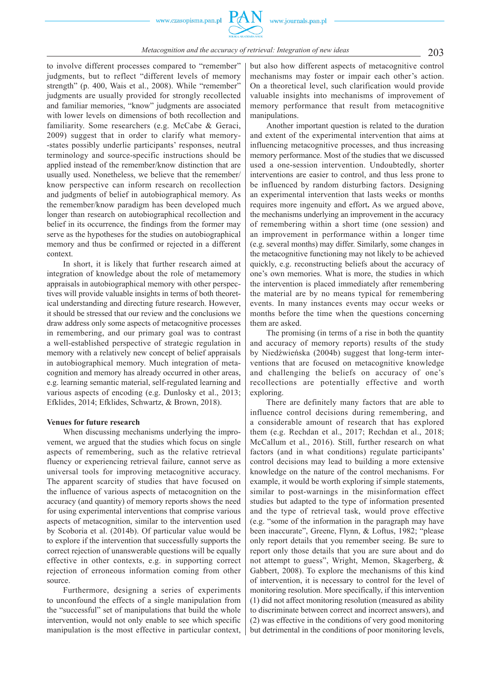to involve different processes compared to "remember" judgments, but to reflect "different levels of memory strength" (p. 400, Wais et al., 2008). While "remember" judgments are usually provided for strongly recollected and familiar memories, "know" judgments are associated with lower levels on dimensions of both recollection and familiarity. Some researchers (e.g. McCabe & Geraci, 2009) suggest that in order to clarify what memory- -states possibly underlie participants' responses, neutral terminology and source -specific instructions should be applied instead of the remember/know distinction that are usually used. Nonetheless, we believe that the remember/ know perspective can inform research on recollection and judgments of belief in autobiographical memory. As the remember/know paradigm has been developed much longer than research on autobiographical recollection and belief in its occurrence, the findings from the former may serve as the hypotheses for the studies on autobiographical memory and thus be confirmed or rejected in a different context.

In short, it is likely that further research aimed at integration of knowledge about the role of metamemory appraisals in autobiographical memory with other perspectives will provide valuable insights in terms of both theoretical understanding and directing future research. However, it should be stressed that our review and the conclusions we draw address only some aspects of metacognitive processes in remembering, and our primary goal was to contrast a well -established perspective of strategic regulation in memory with a relatively new concept of belief appraisals in autobiographical memory. Much integration of metacognition and memory has already occurred in other areas, e.g. learning semantic material, self -regulated learning and various aspects of encoding (e.g. Dunlosky et al., 2013; Efklides, 2014; Efklides, Schwartz, & Brown, 2018).

#### **Venues for future research**

When discussing mechanisms underlying the improvement, we argued that the studies which focus on single aspects of remembering, such as the relative retrieval fluency or experiencing retrieval failure, cannot serve as universal tools for improving metacognitive accuracy. The apparent scarcity of studies that have focused on the influence of various aspects of metacognition on the accuracy (and quantity) of memory reports shows the need for using experimental interventions that comprise various aspects of metacognition, similar to the intervention used by Scoboria et al. (2014b). Of particular value would be to explore if the intervention that successfully supports the correct rejection of unanswerable questions will be equally effective in other contexts, e.g. in supporting correct rejection of erroneous information coming from other source.

Furthermore, designing a series of experiments to unconfound the effects of a single manipulation from the "successful" set of manipulations that build the whole intervention, would not only enable to see which specific manipulation is the most effective in particular context,

but also how different aspects of metacognitive control mechanisms may foster or impair each other's action. On a theoretical level, such clarification would provide valuable insights into mechanisms of improvement of memory performance that result from metacognitive manipulations.

Another important question is related to the duration and extent of the experimental intervention that aims at influencing metacognitive processes, and thus increasing memory performance. Most of the studies that we discussed used a one -session intervention. Undoubtedly, shorter interventions are easier to control, and thus less prone to be influenced by random disturbing factors. Designing an experimental intervention that lasts weeks or months requires more ingenuity and effort**.** As we argued above, the mechanisms underlying an improvement in the accuracy of remembering within a short time (one session) and an improvement in performance within a longer time (e.g. several months) may differ. Similarly, some changes in the metacognitive functioning may not likely to be achieved quickly, e.g. reconstructing beliefs about the accuracy of one's own memories. What is more, the studies in which the intervention is placed immediately after remembering the material are by no means typical for remembering events. In many instances events may occur weeks or months before the time when the questions concerning them are asked.

The promising (in terms of a rise in both the quantity and accuracy of memory reports) results of the study by Niedźwieńska (2004b) suggest that long-term interventions that are focused on metacognitive knowledge and challenging the beliefs on accuracy of one's recollections are potentially effective and worth exploring.

There are definitely many factors that are able to influence control decisions during remembering, and a considerable amount of research that has explored them (e.g. Rechdan et al., 2017; Rechdan et al., 2018; McCallum et al., 2016). Still, further research on what factors (and in what conditions) regulate participants' control decisions may lead to building a more extensive knowledge on the nature of the control mechanisms. For example, it would be worth exploring if simple statements, similar to post-warnings in the misinformation effect studies but adapted to the type of information presented and the type of retrieval task, would prove effective (e.g. "some of the information in the paragraph may have been inaccurate", Greene, Flynn, & Loftus, 1982; "please only report details that you remember seeing. Be sure to report only those details that you are sure about and do not attempt to guess", Wright, Memon, Skagerberg, & Gabbert, 2008). To explore the mechanisms of this kind of intervention, it is necessary to control for the level of monitoring resolution. More specifically, if this intervention (1) did not affect monitoring resolution (measured as ability to discriminate between correct and incorrect answers), and (2) was effective in the conditions of very good monitoring but detrimental in the conditions of poor monitoring levels,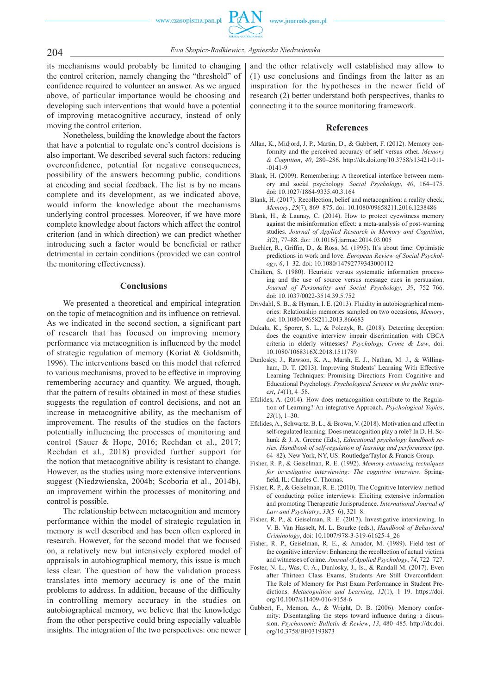

204 *Ewa Skopicz -Radkiewicz, Agnieszka Niedzwienska*

its mechanisms would probably be limited to changing the control criterion, namely changing the "threshold" of confidence required to volunteer an answer. As we argued above, of particular importance would be choosing and developing such interventions that would have a potential of improving metacognitive accuracy, instead of only moving the control criterion.

Nonetheless, building the knowledge about the factors that have a potential to regulate one's control decisions is also important. We described several such factors: reducing overconfidence, potential for negative consequences, possibility of the answers becoming public, conditions at encoding and social feedback. The list is by no means complete and its development, as we indicated above, would inform the knowledge about the mechanisms underlying control processes. Moreover, if we have more complete knowledge about factors which affect the control criterion (and in which direction) we can predict whether introducing such a factor would be beneficial or rather detrimental in certain conditions (provided we can control the monitoring effectiveness).

#### **Conclusions**

We presented a theoretical and empirical integration on the topic of metacognition and its influence on retrieval. As we indicated in the second section, a significant part of research that has focused on improving memory performance via metacognition is influenced by the model of strategic regulation of memory (Koriat & Goldsmith, 1996). The interventions based on this model that referred to various mechanisms, proved to be effective in improving remembering accuracy and quantity. We argued, though, that the pattern of results obtained in most of these studies suggests the regulation of control decisions, and not an increase in metacognitive ability, as the mechanism of improvement. The results of the studies on the factors potentially influencing the processes of monitoring and control (Sauer & Hope, 2016; Rechdan et al., 2017; Rechdan et al., 2018) provided further support for the notion that metacognitive ability is resistant to change. However, as the studies using more extensive interventions suggest (Niedzwienska, 2004b; Scoboria et al., 2014b), an improvement within the processes of monitoring and control is possible.

The relationship between metacognition and memory performance within the model of strategic regulation in memory is well described and has been often explored in research. However, for the second model that we focused on, a relatively new but intensively explored model of appraisals in autobiographical memory, this issue is much less clear. The question of how the validation process translates into memory accuracy is one of the main problems to address. In addition, because of the difficulty in controlling memory accuracy in the studies on autobiographical memory, we believe that the knowledge from the other perspective could bring especially valuable insights. The integration of the two perspectives: one newer

and the other relatively well established may allow to (1) use conclusions and findings from the latter as an inspiration for the hypotheses in the newer field of research (2) better understand both perspectives, thanks to connecting it to the source monitoring framework.

#### **References**

- Allan, K., Midjord, J. P., Martin, D., & Gabbert, F. (2012). Memory conformity and the perceived accuracy of self versus other. *Memory & Cognition*, *40*, 280–286. http://dx.doi.org/10.3758/s13421 -011-  $-0141 - 9$
- Blank, H. (2009). Remembering: A theoretical interface between memory and social psychology*. Social Psychology*, *40*, 164–175. doi: 10.1027/1864 -9335.40.3.164
- Blank, H. (2017). Recollection, belief and metacognition: a reality check, *Memory*, *25*(7), 869–875. doi: 10.1080/09658211.2016.1238486
- Blank, H., & Launay, C. (2014). How to protect eyewitness memory against the misinformation effect: a meta-analysis of post-warning studies. *Journal of Applied Research in Memory and Cognition*, *3*(2), 77–88. doi: 10.1016/j.jarmac.2014.03.005
- Buehler, R., Griffin, D., & Ross, M. (1995). It's about time: Optimistic predictions in work and love. *European Review of Social Psychology*, *6*, 1–32. doi: 10.1080/14792779343000112
- Chaiken, S. (1980). Heuristic versus systematic information processing and the use of source versus message cues in persuasion. *Journal of Personality and Social Psychology*, *39*, 752–766. doi: 10.1037/0022 -3514.39.5.752
- Drivdahl, S. B., & Hyman, I. E. (2013). Fluidity in autobiographical memories: Relationship memories sampled on two occasions, *Memory*, doi: 10.1080/09658211.2013.866683
- Dukala, K., Sporer, S. L., & Polczyk, R. (2018). Detecting deception: does the cognitive interview impair discrimination with CBCA criteria in elderly witnesses? *Psychology, Crime & Law*, doi: 10.1080/1068316X.2018.1511789
- Dunlosky, J., Rawson, K. A., Marsh, E. J., Nathan, M. J., & Willingham, D. T. (2013). Improving Students' Learning With Effective Learning Techniques: Promising Directions From Cognitive and Educational Psychology. *Psychological Science in the public interest*, *14*(1), 4–58.
- Efklides, A. (2014). How does metacognition contribute to the Regulation of Learning? An integrative Approach. *Psychological Topics*, *23*(1), 1–30.
- Efklides, A., Schwartz, B. L., & Brown, V. (2018). Motivation and affect in self -regulated learning: Does metacognition play a role? In D. H. Schunk & J. A. Greene (Eds.), *Educational psychology handbook series. Handbook of self -regulation of learning and performance* (pp. 64–82). New York, NY, US: Routledge/Taylor & Francis Group.
- Fisher, R. P., & Geiselman, R. E. (1992). *Memory enhancing techniques for investigative interviewing: The cognitive interview*. Springfield, IL: Charles C. Thomas.
- Fisher, R. P., & Geiselman, R. E. (2010). The Cognitive Interview method of conducting police interviews: Eliciting extensive information and promoting Therapeutic Jurisprudence. *International Journal of Law and Psychiatry*, *33*(5–6), 321–8.
- Fisher, R. P., & Geiselman, R. E. (2017). Investigative interviewing. In V. B. Van Hasselt, M. L. Bourke (eds.), *Handbook of Behavioral Criminology*, doi: 10.1007/978 -3 -319 -61625 -4\_26
- Fisher, R. P., Geiselman, R. E., & Amador, M. (1989). Field test of the cognitive interview: Enhancing the recollection of actual victims and witnesses of crime. *Journal of Applied Psychology*, *74*, 722–727.
- Foster, N. L., Was, C. A., Dunlosky, J., Is., & Randall M. (2017). Even after Thirteen Class Exams, Students Are Still Overconfident: The Role of Memory for Past Exam Performance in Student Predictions. *Metacognition and Learning*, *12*(1), 1–19. https://doi. org/10.1007/s11409 -016 -9158 -6
- Gabbert, F., Memon, A., & Wright, D. B. (2006). Memory conformity: Disentangling the steps toward influence during a discussion. *Psychonomic Bulletin & Review*, *13*, 480–485. http://dx.doi. org/10.3758/BF03193873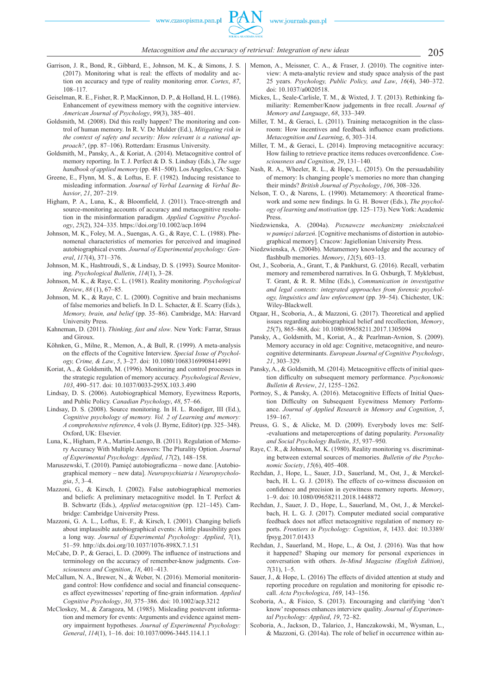- Garrison, J. R., Bond, R., Gibbard, E., Johnson, M. K., & Simons, J. S. (2017). Monitoring what is real: the effects of modality and action on accuracy and type of reality monitoring error. *Cortex*, *87*, 108–117.
- Geiselman, R. E., Fisher, R. P, MacKinnon, D. P., & Holland, H. L. (1986). Enhancement of eyewitness memory with the cognitive interview*. American Journal of Psychology*, *99*(3), 385–401.
- Goldsmith, M. (2008). Did this really happen? The monitoring and control of human memory. In R. V. De Mulder (Ed.), *Mitigating risk in the context of safety and security: How relevant is a rational approach?*, (pp. 87–106). Rotterdam: Erasmus University.
- Goldsmith, M., Pansky, A., & Koriat, A. (2014). Metacognitive control of memory reporting. In T. J. Perfect & D. S. Lindsay (Eds.), *The sage handbook of applied memory* (pp. 481–500). Los Angeles, CA: Sage.
- Greene, E., Flynn, M. S., & Loftus, E. F. (1982). Inducing resistance to misleading information. *Journal of Verbal Learning & Verbal Behavior*, *21*, 207–219.
- Higham, P. A., Luna, K., & Bloomfield, J. (2011). Trace-strength and source-monitoring accounts of accuracy and metacognitive resolution in the misinformation paradigm. *Applied Cognitive Psychology*, *25*(2), 324–335. https://doi.org/10.1002/acp.1694
- Johnson, M. K., Foley, M. A., Suengas, A. G., & Raye, C. L. (1988). Phenomenal characteristics of memories for perceived and imagined autobiographical events. *Journal of Experimental psychology: General*, *117*(4), 371–376.
- Johnson, M. K., Hashtroudi, S., & Lindsay, D. S. (1993). Source Monitoring*. Psychological Bulletin*, *114*(1), 3–28.
- Johnson, M. K., & Raye, C. L. (1981). Reality monitoring. *Psychological Review*, *88* (1), 67–85.
- Johnson, M. K., & Raye, C. L. (2000). Cognitive and brain mechanisms of false memories and beliefs. In D. L. Schacter, & E. Scarry (Eds.), *Memory, brain, and belief* (pp. 35–86). Cambridge, MA: Harvard University Press.
- Kahneman, D. (2011). *Thinking, fast and slow*. New York: Farrar, Straus and Giroux.
- Köhnken, G., Milne, R., Memon, A., & Bull, R. (1999). A meta-analysis on the effects of the Cognitive Interview. *Special Issue of Psychology, Crime, & Law*, *5*, 3–27. doi: 10.1080/10683169908414991
- Koriat, A., & Goldsmith, M. (1996). Monitoring and control processes in the strategic regulation of memory accuracy. *Psychological Review*, *103*, 490–517. doi: 10.1037/0033 -295X.103.3.490
- Lindsay, D. S. (2006). Autobiographical Memory, Eyewitness Reports, and Public Policy. *Canadian Psychology*, *48*, 57–66.
- Lindsay, D. S. (2008). Source monitoring. In H. L. Roediger, III (Ed.), *Cognitive psychology of memory. Vol. 2 of Learning and memory: A comprehensive reference*, 4 vols (J. Byrne, Editor) (pp. 325–348). Oxford, UK: Elsevier.
- Luna, K., Higham, P. A., Martin -Luengo, B. (2011). Regulation of Memory Accuracy With Multiple Answers: The Plurality Option. *Journal of Experimental Psychology: Applied*, *17*(2), 148–158.
- Maruszewski, T. (2010). Pamięć autobiograficzna nowe dane. [Autobiographical memory – new data]. *Neuropsychiatria i Neuropsychologia*, *5*, 3–4.
- Mazzoni, G., & Kirsch, I. (2002). False autobiographical memories and beliefs: A preliminary metacognitive model. In T. Perfect & B. Schwartz (Eds.), *Applied metacognition* (pp. 121–145). Cambridge: Cambridge University Press.
- Mazzoni, G. A. L., Loftus, E. F., & Kirsch, I. (2001). Changing beliefs about implausible autobiographical events: A little plausibility goes a long way. *Journal of Experimental Psychology: Applied*, *7*(1), 51–59. http://dx.doi.org/10.1037/1076 -898X.7.1.51
- McCabe, D. P.,  $\&$  Geraci, L. D. (2009). The influence of instructions and terminology on the accuracy of remember -know judgments. *Consciousness and Cognition*, *18*, 401–413.
- McCallum, N. A., Brewer, N., & Weber, N. (2016). Memorial monitoringand control: How confidence and social and financial consequences affect eyewitnesses' reporting of fine-grain information. *Applied Cognitive Psychology*, *30*, 375–386. doi: 10.1002/acp.3212
- McCloskey, M., & Zaragoza, M. (1985). Misleading postevent information and memory for events: Arguments and evidence against memory impairment hypotheses. *Journal of Experimental Psychology: General*, *114*(1), 1–16. doi: 10.1037/0096 -3445.114.1.1
- Memon, A., Meissner, C. A., & Fraser, J. (2010). The cognitive interview: A meta -analytic review and study space analysis of the past 25 years. *Psychology, Public Policy, and Law*, *16*(4), 340–372. doi: 10.1037/a0020518.
- Mickes, L., Seale-Carlisle, T. M., & Wixted, J. T. (2013). Rethinking familiarity: Remember/Know judgements in free recall. *Journal of Memory and Language*, *68*, 333–349.
- Miller, T. M., & Geraci, L. (2011). Training metacognition in the classroom: How incentives and feedback influence exam predictions. *Metacognition and Learning*, *6*, 303–314.
- Miller, T. M., & Geraci, L. (2014). Improving metacognitive accuracy: How failing to retrieve practice items reduces overconfidence. *Consciousness and Cognition*, *29*, 131–140.
- Nash, R. A., Wheeler, R. L., & Hope, L. (2015). On the persuadability of memory: Is changing people's memories no more than changing their minds? *British Journal of Psychology*, *106*, 308–326.
- Nelson, T. O., & Narens, L. (1990). Metamemory: A theoretical framework and some new findings. In G. H. Bower (Eds.), *The psychology of learning and motivation* (pp. 125–173). New York: Academic Press.
- Niedzwienska, A. (2004a). *Poznawcze mechanizmy zniekształceń w pamięci zdarzeń*. [Cognitive mechanisms of distortion in autobiographical memory]. Cracow: Jagiellonian University Press.
- Niedzwienska, A. (2004b). Metamemory knowledge and the accuracy of flashbulb memories. *Memory*, 12(5), 603-13.
- Ost, J., Scoboria, A., Grant, T., & Pankhurst, G. (2016). Recall, verbatim memory and remembered narratives. In G. Oxburgh, T. Myklebust, T. Grant, & R. R. Milne (Eds.), *Communication in investigative and legal contexts: integrated approaches from forensic psychology, linguistics and law enforcement* (pp. 39–54). Chichester, UK: Wiley-Blackwell.
- Otgaar, H., Scoboria, A., & Mazzoni, G. (2017). Theoretical and applied issues regarding autobiographical belief and recollection, *Memory*, *25*(7), 865–868, doi: 10.1080/09658211.2017.1305094
- Pansky, A., Goldsmith, M., Koriat, A., & Pearlman -Avnion, S. (2009). Memory accuracy in old age: Cognitive, metacognitive, and neurocognitive determinants. *European Journal of Cognitive Psychology*, *21*, 303–329.
- Pansky, A., & Goldsmith, M. (2014). Metacognitive effects of initial question difficulty on subsequent memory performance. *Psychonomic Bulletin & Review*, *21*, 1255–1262.
- Portnoy, S., & Pansky, A. (2016). Metacognitive Effects of Initial Question Difficulty on Subsequent Eyewitness Memory Performance. *Journal of Applied Research in Memory and Cognition*, *5*, 159–167.
- Preuss, G. S., & Alicke, M. D. (2009). Everybody loves me: Self- -evaluations and metaperceptions of dating popularity. *Personality and Social Psychology Bulletin*, *35*, 937–950.
- Raye, C. R., & Johnson, M. K. (1980). Reality monitoring vs. discriminating between external sources of memories. *Bulletin of the Psychonomic Society*, *15*(6), 405–408.
- Rechdan, J., Hope, L., Sauer, J.D., Sauerland, M., Ost, J., & Merckel bach, H. L. G. J. (2018). The effects of co-witness discussion on confidence and precision in eyewitness memory reports. Memory, 1–9. doi: 10.1080/09658211.2018.1448872
- Rechdan, J., Sauer, J. D., Hope, L., Sauerland, M., Ost, J., & Merckelbach, H. L. G. J. (2017). Computer mediated social comparative feedback does not affect metacognitive regulation of memory reports. *Frontiers in Psychology: Cognition*, *8*, 1433. doi: 10.3389/ fpsyg.2017.01433
- Rechdan, J., Sauerland, M., Hope, L., & Ost, J. (2016). Was that how it happened? Shaping our memory for personal experiences in conversation with others. *In -Mind Magazine (English Edition)*, *7*(31), 1–5.
- Sauer, J., & Hope, L. (2016) The effects of divided attention at study and reporting procedure on regulation and monitoring for episodic recall. *Acta Psychologica*, *169*, 143–156.
- Scoboria, A., & Fisico, S. (2013). Encouraging and clarifying 'don't know' responses enhances interview quality. *Journal of Experimental Psychology: Applied*, *19*, 72–82.
- Scoboria, A., Jackson, D., Talarico, J., Hanczakowski, M., Wysman, L., & Mazzoni, G. (2014a). The role of belief in occurrence within au-